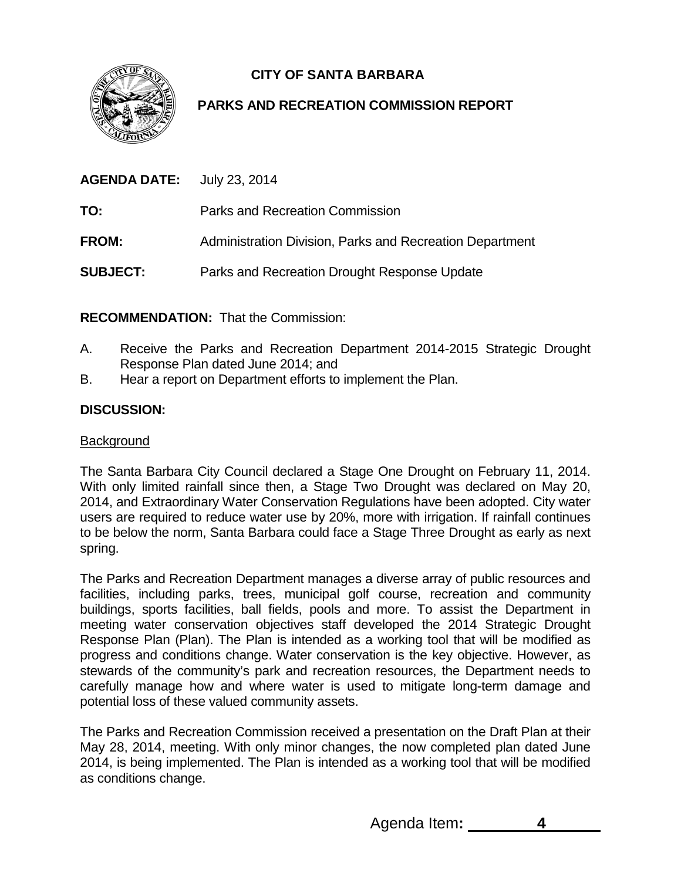**CITY OF SANTA BARBARA**



# **PARKS AND RECREATION COMMISSION REPORT**

| <b>AGENDA DATE:</b> July 23, 2014 |                                                          |
|-----------------------------------|----------------------------------------------------------|
| TO:                               | Parks and Recreation Commission                          |
| <b>FROM:</b>                      | Administration Division, Parks and Recreation Department |
| <b>SUBJECT:</b>                   | Parks and Recreation Drought Response Update             |

**RECOMMENDATION:** That the Commission:

- A. Receive the Parks and Recreation Department 2014-2015 Strategic Drought Response Plan dated June 2014; and
- B. Hear a report on Department efforts to implement the Plan.

## **DISCUSSION:**

### **Background**

The Santa Barbara City Council declared a Stage One Drought on February 11, 2014. With only limited rainfall since then, a Stage Two Drought was declared on May 20, 2014, and Extraordinary Water Conservation Regulations have been adopted. City water users are required to reduce water use by 20%, more with irrigation. If rainfall continues to be below the norm, Santa Barbara could face a Stage Three Drought as early as next spring.

The Parks and Recreation Department manages a diverse array of public resources and facilities, including parks, trees, municipal golf course, recreation and community buildings, sports facilities, ball fields, pools and more. To assist the Department in meeting water conservation objectives staff developed the 2014 Strategic Drought Response Plan (Plan). The Plan is intended as a working tool that will be modified as progress and conditions change. Water conservation is the key objective. However, as stewards of the community's park and recreation resources, the Department needs to carefully manage how and where water is used to mitigate long-term damage and potential loss of these valued community assets.

The Parks and Recreation Commission received a presentation on the Draft Plan at their May 28, 2014, meeting. With only minor changes, the now completed plan dated June 2014, is being implemented. The Plan is intended as a working tool that will be modified as conditions change.

Agenda Item**: 4**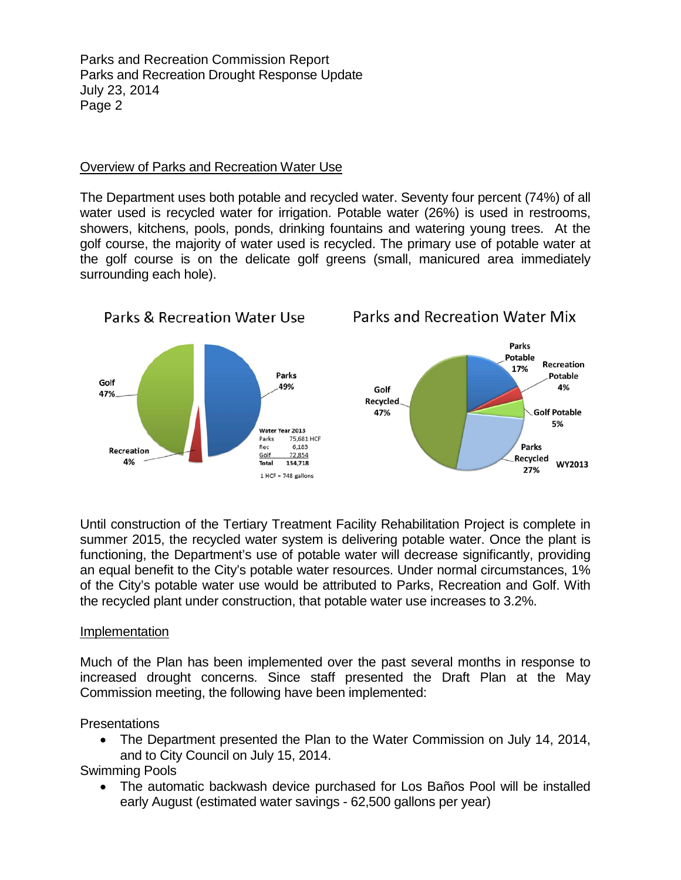### Overview of Parks and Recreation Water Use

The Department uses both potable and recycled water. Seventy four percent (74%) of all water used is recycled water for irrigation. Potable water (26%) is used in restrooms, showers, kitchens, pools, ponds, drinking fountains and watering young trees. At the golf course, the majority of water used is recycled. The primary use of potable water at the golf course is on the delicate golf greens (small, manicured area immediately surrounding each hole).



Until construction of the Tertiary Treatment Facility Rehabilitation Project is complete in summer 2015, the recycled water system is delivering potable water. Once the plant is functioning, the Department's use of potable water will decrease significantly, providing an equal benefit to the City's potable water resources. Under normal circumstances, 1% of the City's potable water use would be attributed to Parks, Recreation and Golf. With the recycled plant under construction, that potable water use increases to 3.2%.

### Implementation

Much of the Plan has been implemented over the past several months in response to increased drought concerns. Since staff presented the Draft Plan at the May Commission meeting, the following have been implemented:

**Presentations** 

• The Department presented the Plan to the Water Commission on July 14, 2014, and to City Council on July 15, 2014.

## Swimming Pools

• The automatic backwash device purchased for Los Baños Pool will be installed early August (estimated water savings - 62,500 gallons per year)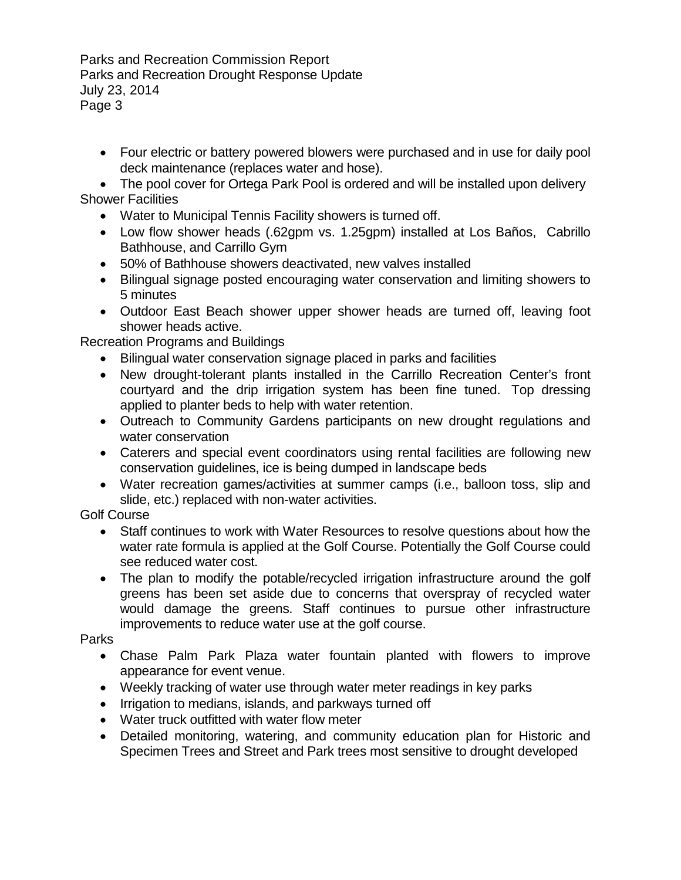• Four electric or battery powered blowers were purchased and in use for daily pool deck maintenance (replaces water and hose).

• The pool cover for Ortega Park Pool is ordered and will be installed upon delivery Shower Facilities

- Water to Municipal Tennis Facility showers is turned off.
- Low flow shower heads (.62gpm vs. 1.25gpm) installed at Los Baños, Cabrillo Bathhouse, and Carrillo Gym
- 50% of Bathhouse showers deactivated, new valves installed
- Bilingual signage posted encouraging water conservation and limiting showers to 5 minutes
- Outdoor East Beach shower upper shower heads are turned off, leaving foot shower heads active.

Recreation Programs and Buildings

- Bilingual water conservation signage placed in parks and facilities
- New drought-tolerant plants installed in the Carrillo Recreation Center's front courtyard and the drip irrigation system has been fine tuned. Top dressing applied to planter beds to help with water retention.
- Outreach to Community Gardens participants on new drought regulations and water conservation
- Caterers and special event coordinators using rental facilities are following new conservation guidelines, ice is being dumped in landscape beds
- Water recreation games/activities at summer camps (i.e., balloon toss, slip and slide, etc.) replaced with non-water activities.

Golf Course

- Staff continues to work with Water Resources to resolve questions about how the water rate formula is applied at the Golf Course. Potentially the Golf Course could see reduced water cost.
- The plan to modify the potable/recycled irrigation infrastructure around the golf greens has been set aside due to concerns that overspray of recycled water would damage the greens. Staff continues to pursue other infrastructure improvements to reduce water use at the golf course.

Parks

- Chase Palm Park Plaza water fountain planted with flowers to improve appearance for event venue.
- Weekly tracking of water use through water meter readings in key parks
- Irrigation to medians, islands, and parkways turned off
- Water truck outfitted with water flow meter
- Detailed monitoring, watering, and community education plan for Historic and Specimen Trees and Street and Park trees most sensitive to drought developed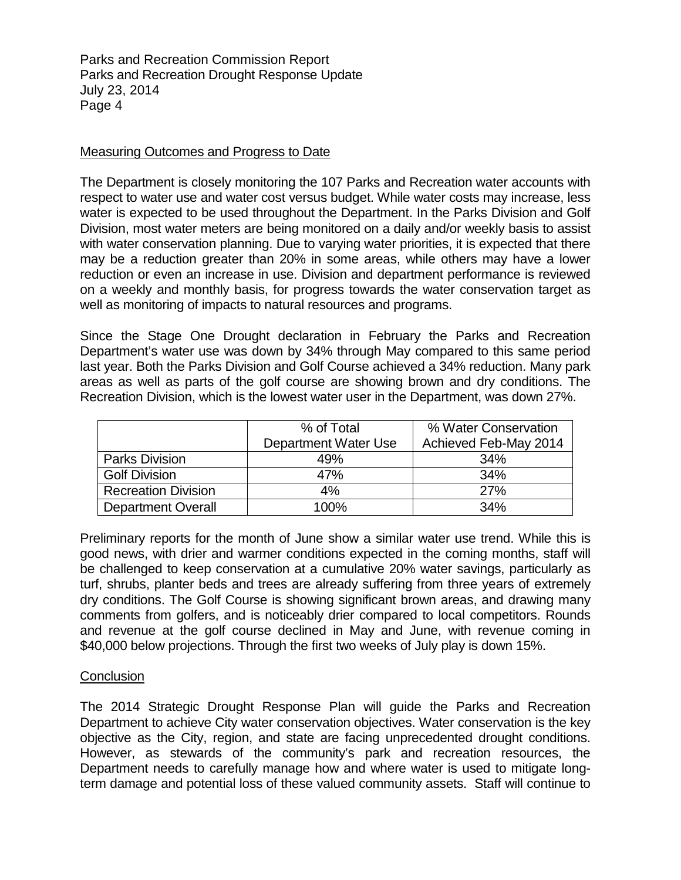#### Measuring Outcomes and Progress to Date

The Department is closely monitoring the 107 Parks and Recreation water accounts with respect to water use and water cost versus budget. While water costs may increase, less water is expected to be used throughout the Department. In the Parks Division and Golf Division, most water meters are being monitored on a daily and/or weekly basis to assist with water conservation planning. Due to varying water priorities, it is expected that there may be a reduction greater than 20% in some areas, while others may have a lower reduction or even an increase in use. Division and department performance is reviewed on a weekly and monthly basis, for progress towards the water conservation target as well as monitoring of impacts to natural resources and programs.

Since the Stage One Drought declaration in February the Parks and Recreation Department's water use was down by 34% through May compared to this same period last year. Both the Parks Division and Golf Course achieved a 34% reduction. Many park areas as well as parts of the golf course are showing brown and dry conditions. The Recreation Division, which is the lowest water user in the Department, was down 27%.

|                            | % of Total<br>Department Water Use | % Water Conservation<br>Achieved Feb-May 2014 |
|----------------------------|------------------------------------|-----------------------------------------------|
| <b>Parks Division</b>      | 49%                                | 34%                                           |
| <b>Golf Division</b>       | 47%                                | 34%                                           |
| <b>Recreation Division</b> | 4%                                 | 27%                                           |
| <b>Department Overall</b>  | 100%                               | 34%                                           |

Preliminary reports for the month of June show a similar water use trend. While this is good news, with drier and warmer conditions expected in the coming months, staff will be challenged to keep conservation at a cumulative 20% water savings, particularly as turf, shrubs, planter beds and trees are already suffering from three years of extremely dry conditions. The Golf Course is showing significant brown areas, and drawing many comments from golfers, and is noticeably drier compared to local competitors. Rounds and revenue at the golf course declined in May and June, with revenue coming in \$40,000 below projections. Through the first two weeks of July play is down 15%.

#### **Conclusion**

The 2014 Strategic Drought Response Plan will guide the Parks and Recreation Department to achieve City water conservation objectives. Water conservation is the key objective as the City, region, and state are facing unprecedented drought conditions. However, as stewards of the community's park and recreation resources, the Department needs to carefully manage how and where water is used to mitigate longterm damage and potential loss of these valued community assets. Staff will continue to